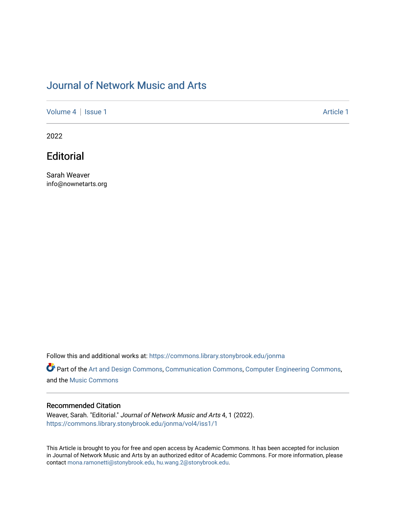## [Journal of Network Music and Arts](https://commons.library.stonybrook.edu/jonma)

[Volume 4](https://commons.library.stonybrook.edu/jonma/vol4) | [Issue 1](https://commons.library.stonybrook.edu/jonma/vol4/iss1) Article 1

2022

## **Editorial**

Sarah Weaver info@nownetarts.org

Follow this and additional works at: [https://commons.library.stonybrook.edu/jonma](https://commons.library.stonybrook.edu/jonma?utm_source=commons.library.stonybrook.edu%2Fjonma%2Fvol4%2Fiss1%2F1&utm_medium=PDF&utm_campaign=PDFCoverPages) 

Part of the [Art and Design Commons](https://network.bepress.com/hgg/discipline/1049?utm_source=commons.library.stonybrook.edu%2Fjonma%2Fvol4%2Fiss1%2F1&utm_medium=PDF&utm_campaign=PDFCoverPages), [Communication Commons](https://network.bepress.com/hgg/discipline/325?utm_source=commons.library.stonybrook.edu%2Fjonma%2Fvol4%2Fiss1%2F1&utm_medium=PDF&utm_campaign=PDFCoverPages), [Computer Engineering Commons](https://network.bepress.com/hgg/discipline/258?utm_source=commons.library.stonybrook.edu%2Fjonma%2Fvol4%2Fiss1%2F1&utm_medium=PDF&utm_campaign=PDFCoverPages), and the [Music Commons](https://network.bepress.com/hgg/discipline/518?utm_source=commons.library.stonybrook.edu%2Fjonma%2Fvol4%2Fiss1%2F1&utm_medium=PDF&utm_campaign=PDFCoverPages)

#### Recommended Citation

Weaver, Sarah. "Editorial." Journal of Network Music and Arts 4, 1 (2022). [https://commons.library.stonybrook.edu/jonma/vol4/iss1/1](https://commons.library.stonybrook.edu/jonma/vol4/iss1/1?utm_source=commons.library.stonybrook.edu%2Fjonma%2Fvol4%2Fiss1%2F1&utm_medium=PDF&utm_campaign=PDFCoverPages) 

This Article is brought to you for free and open access by Academic Commons. It has been accepted for inclusion in Journal of Network Music and Arts by an authorized editor of Academic Commons. For more information, please contact [mona.ramonetti@stonybrook.edu, hu.wang.2@stonybrook.edu.](mailto:mona.ramonetti@stonybrook.edu,%20hu.wang.2@stonybrook.edu)